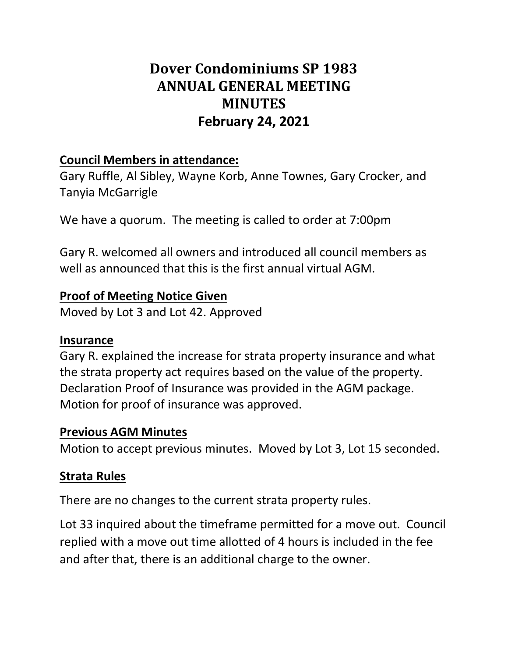# **Dover Condominiums SP 1983 ANNUAL GENERAL MEETING MINUTES February 24, 2021**

#### **Council Members in attendance:**

Gary Ruffle, Al Sibley, Wayne Korb, Anne Townes, Gary Crocker, and Tanyia McGarrigle

We have a quorum. The meeting is called to order at 7:00pm

Gary R. welcomed all owners and introduced all council members as well as announced that this is the first annual virtual AGM.

#### **Proof of Meeting Notice Given**

Moved by Lot 3 and Lot 42. Approved

#### **Insurance**

Gary R. explained the increase for strata property insurance and what the strata property act requires based on the value of the property. Declaration Proof of Insurance was provided in the AGM package. Motion for proof of insurance was approved.

#### **Previous AGM Minutes**

Motion to accept previous minutes. Moved by Lot 3, Lot 15 seconded.

#### **Strata Rules**

There are no changes to the current strata property rules.

Lot 33 inquired about the timeframe permitted for a move out. Council replied with a move out time allotted of 4 hours is included in the fee and after that, there is an additional charge to the owner.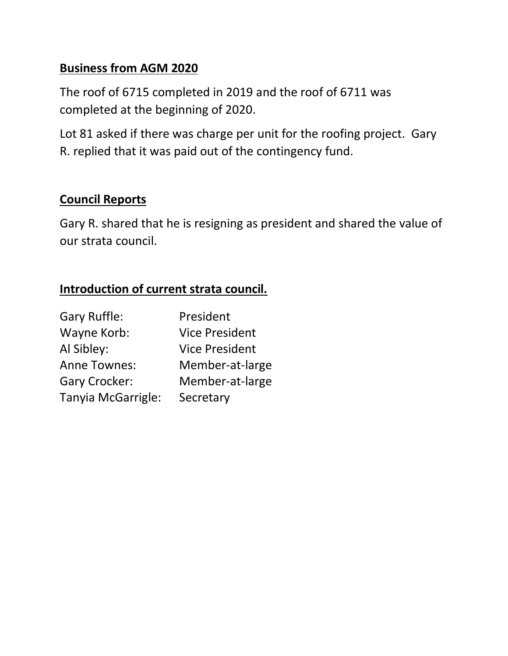#### **Business from AGM 2020**

The roof of 6715 completed in 2019 and the roof of 6711 was completed at the beginning of 2020.

Lot 81 asked if there was charge per unit for the roofing project. Gary R. replied that it was paid out of the contingency fund.

#### **Council Reports**

Gary R. shared that he is resigning as president and shared the value of our strata council.

### **Introduction of current strata council.**

| <b>Gary Ruffle:</b>  | President             |
|----------------------|-----------------------|
| Wayne Korb:          | <b>Vice President</b> |
| Al Sibley:           | <b>Vice President</b> |
| <b>Anne Townes:</b>  | Member-at-large       |
| <b>Gary Crocker:</b> | Member-at-large       |
| Tanyia McGarrigle:   | Secretary             |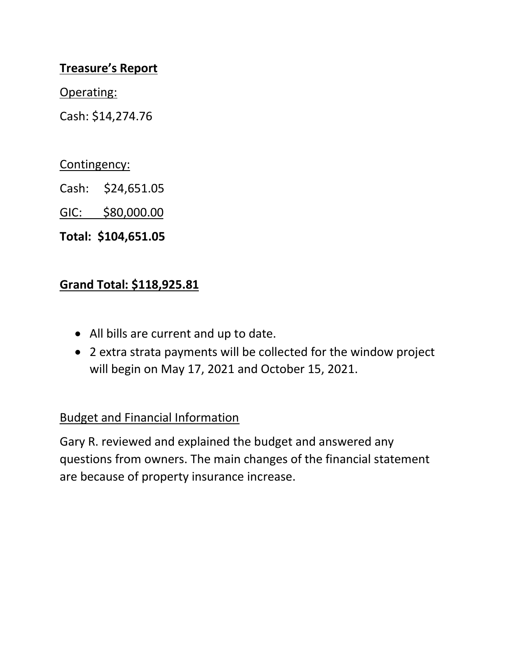#### **Treasure's Report**

Operating:

Cash: \$14,274.76

Contingency:

Cash: \$24,651.05

GIC: \$80,000.00

**Total: \$104,651.05**

#### **Grand Total: \$118,925.81**

- All bills are current and up to date.
- 2 extra strata payments will be collected for the window project will begin on May 17, 2021 and October 15, 2021.

### Budget and Financial Information

Gary R. reviewed and explained the budget and answered any questions from owners. The main changes of the financial statement are because of property insurance increase.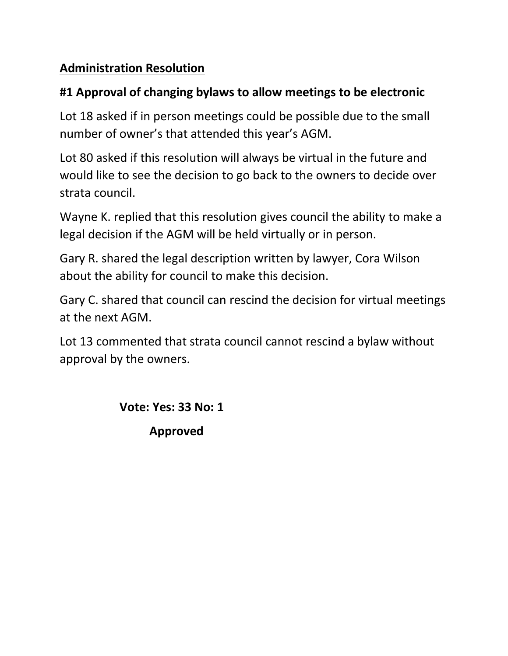### **Administration Resolution**

### **#1 Approval of changing bylaws to allow meetings to be electronic**

Lot 18 asked if in person meetings could be possible due to the small number of owner's that attended this year's AGM.

Lot 80 asked if this resolution will always be virtual in the future and would like to see the decision to go back to the owners to decide over strata council.

Wayne K. replied that this resolution gives council the ability to make a legal decision if the AGM will be held virtually or in person.

Gary R. shared the legal description written by lawyer, Cora Wilson about the ability for council to make this decision.

Gary C. shared that council can rescind the decision for virtual meetings at the next AGM.

Lot 13 commented that strata council cannot rescind a bylaw without approval by the owners.

> **Vote: Yes: 33 No: 1 Approved**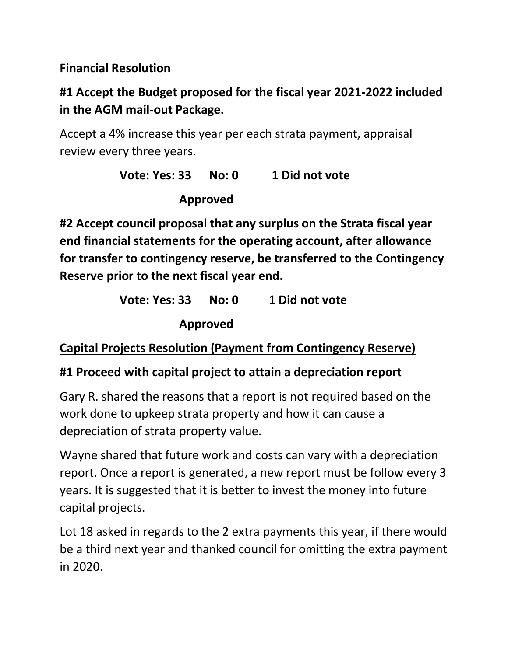### **Financial Resolution**

# **#1 Accept the Budget proposed for the fiscal year 2021-2022 included in the AGM mail-out Package.**

Accept a 4% increase this year per each strata payment, appraisal review every three years.

> **Vote: Yes: 33 No: 0 1 Did not vote Approved**

**#2 Accept council proposal that any surplus on the Strata fiscal year end financial statements for the operating account, after allowance for transfer to contingency reserve, be transferred to the Contingency Reserve prior to the next fiscal year end.** 

> **Vote: Yes: 33 No: 0 1 Did not vote Approved**

**Capital Projects Resolution (Payment from Contingency Reserve)** 

### **#1 Proceed with capital project to attain a depreciation report**

Gary R. shared the reasons that a report is not required based on the work done to upkeep strata property and how it can cause a depreciation of strata property value.

Wayne shared that future work and costs can vary with a depreciation report. Once a report is generated, a new report must be follow every 3 years. It is suggested that it is better to invest the money into future capital projects.

Lot 18 asked in regards to the 2 extra payments this year, if there would be a third next year and thanked council for omitting the extra payment in 2020.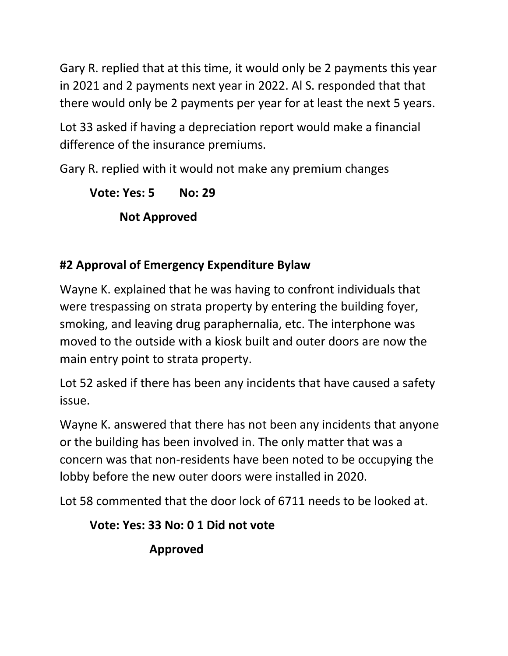Gary R. replied that at this time, it would only be 2 payments this year in 2021 and 2 payments next year in 2022. Al S. responded that that there would only be 2 payments per year for at least the next 5 years.

Lot 33 asked if having a depreciation report would make a financial difference of the insurance premiums.

Gary R. replied with it would not make any premium changes

**Vote: Yes: 5 No: 29 Not Approved** 

# **#2 Approval of Emergency Expenditure Bylaw**

Wayne K. explained that he was having to confront individuals that were trespassing on strata property by entering the building foyer, smoking, and leaving drug paraphernalia, etc. The interphone was moved to the outside with a kiosk built and outer doors are now the main entry point to strata property.

Lot 52 asked if there has been any incidents that have caused a safety issue.

Wayne K. answered that there has not been any incidents that anyone or the building has been involved in. The only matter that was a concern was that non-residents have been noted to be occupying the lobby before the new outer doors were installed in 2020.

Lot 58 commented that the door lock of 6711 needs to be looked at.

**Vote: Yes: 33 No: 0 1 Did not vote** 

**Approved**